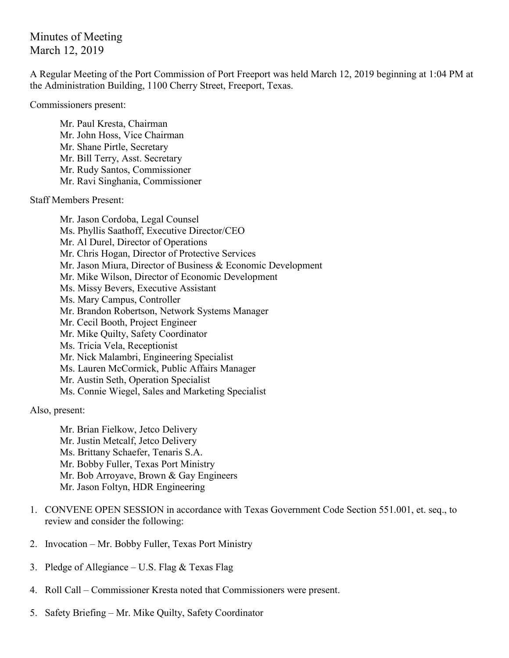## Minutes of Meeting March 12, 2019

A Regular Meeting of the Port Commission of Port Freeport was held March 12, 2019 beginning at 1:04 PM at the Administration Building, 1100 Cherry Street, Freeport, Texas.

Commissioners present:

Mr. Paul Kresta, Chairman Mr. John Hoss, Vice Chairman Mr. Shane Pirtle, Secretary Mr. Bill Terry, Asst. Secretary Mr. Rudy Santos, Commissioner Mr. Ravi Singhania, Commissioner

Staff Members Present:

Mr. Jason Cordoba, Legal Counsel Ms. Phyllis Saathoff, Executive Director/CEO Mr. Al Durel, Director of Operations Mr. Chris Hogan, Director of Protective Services Mr. Jason Miura, Director of Business & Economic Development Mr. Mike Wilson, Director of Economic Development Ms. Missy Bevers, Executive Assistant Ms. Mary Campus, Controller Mr. Brandon Robertson, Network Systems Manager Mr. Cecil Booth, Project Engineer Mr. Mike Quilty, Safety Coordinator Ms. Tricia Vela, Receptionist Mr. Nick Malambri, Engineering Specialist Ms. Lauren McCormick, Public Affairs Manager Mr. Austin Seth, Operation Specialist Ms. Connie Wiegel, Sales and Marketing Specialist

Also, present:

Mr. Brian Fielkow, Jetco Delivery Mr. Justin Metcalf, Jetco Delivery Ms. Brittany Schaefer, Tenaris S.A. Mr. Bobby Fuller, Texas Port Ministry Mr. Bob Arroyave, Brown & Gay Engineers Mr. Jason Foltyn, HDR Engineering

- 1. CONVENE OPEN SESSION in accordance with Texas Government Code Section 551.001, et. seq., to review and consider the following:
- 2. Invocation Mr. Bobby Fuller, Texas Port Ministry
- 3. Pledge of Allegiance U.S. Flag  $&$  Texas Flag
- 4. Roll Call Commissioner Kresta noted that Commissioners were present.
- 5. Safety Briefing Mr. Mike Quilty, Safety Coordinator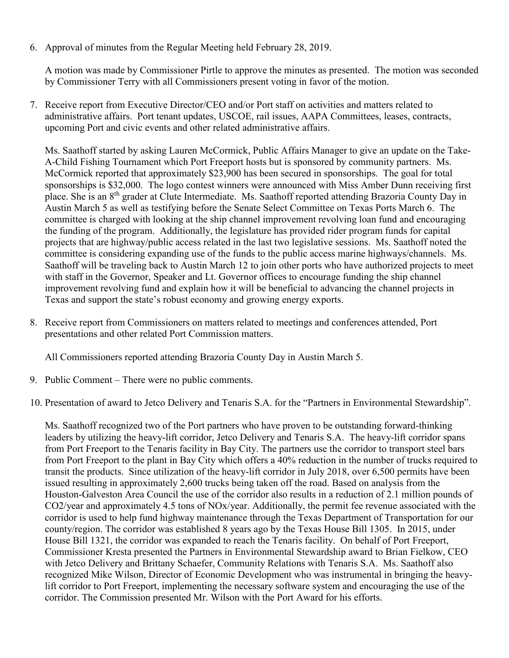6. Approval of minutes from the Regular Meeting held February 28, 2019.

A motion was made by Commissioner Pirtle to approve the minutes as presented. The motion was seconded by Commissioner Terry with all Commissioners present voting in favor of the motion.

7. Receive report from Executive Director/CEO and/or Port staff on activities and matters related to administrative affairs. Port tenant updates, USCOE, rail issues, AAPA Committees, leases, contracts, upcoming Port and civic events and other related administrative affairs.

Ms. Saathoff started by asking Lauren McCormick, Public Affairs Manager to give an update on the Take-A-Child Fishing Tournament which Port Freeport hosts but is sponsored by community partners. Ms. McCormick reported that approximately \$23,900 has been secured in sponsorships. The goal for total sponsorships is \$32,000. The logo contest winners were announced with Miss Amber Dunn receiving first place. She is an 8th grader at Clute Intermediate. Ms. Saathoff reported attending Brazoria County Day in Austin March 5 as well as testifying before the Senate Select Committee on Texas Ports March 6. The committee is charged with looking at the ship channel improvement revolving loan fund and encouraging the funding of the program. Additionally, the legislature has provided rider program funds for capital projects that are highway/public access related in the last two legislative sessions. Ms. Saathoff noted the committee is considering expanding use of the funds to the public access marine highways/channels. Ms. Saathoff will be traveling back to Austin March 12 to join other ports who have authorized projects to meet with staff in the Governor, Speaker and Lt. Governor offices to encourage funding the ship channel improvement revolving fund and explain how it will be beneficial to advancing the channel projects in Texas and support the state's robust economy and growing energy exports.

8. Receive report from Commissioners on matters related to meetings and conferences attended, Port presentations and other related Port Commission matters.

All Commissioners reported attending Brazoria County Day in Austin March 5.

9. Public Comment – There were no public comments.

10. Presentation of award to Jetco Delivery and Tenaris S.A. for the "Partners in Environmental Stewardship".

Ms. Saathoff recognized two of the Port partners who have proven to be outstanding forward-thinking leaders by utilizing the heavy-lift corridor, Jetco Delivery and Tenaris S.A. The heavy-lift corridor spans from Port Freeport to the Tenaris facility in Bay City. The partners use the corridor to transport steel bars from Port Freeport to the plant in Bay City which offers a 40% reduction in the number of trucks required to transit the products. Since utilization of the heavy-lift corridor in July 2018, over 6,500 permits have been issued resulting in approximately 2,600 trucks being taken off the road. Based on analysis from the Houston-Galveston Area Council the use of the corridor also results in a reduction of 2.1 million pounds of CO2/year and approximately 4.5 tons of NOx/year. Additionally, the permit fee revenue associated with the corridor is used to help fund highway maintenance through the Texas Department of Transportation for our county/region. The corridor was established 8 years ago by the Texas House Bill 1305. In 2015, under House Bill 1321, the corridor was expanded to reach the Tenaris facility. On behalf of Port Freeport, Commissioner Kresta presented the Partners in Environmental Stewardship award to Brian Fielkow, CEO with Jetco Delivery and Brittany Schaefer, Community Relations with Tenaris S.A. Ms. Saathoff also recognized Mike Wilson, Director of Economic Development who was instrumental in bringing the heavylift corridor to Port Freeport, implementing the necessary software system and encouraging the use of the corridor. The Commission presented Mr. Wilson with the Port Award for his efforts.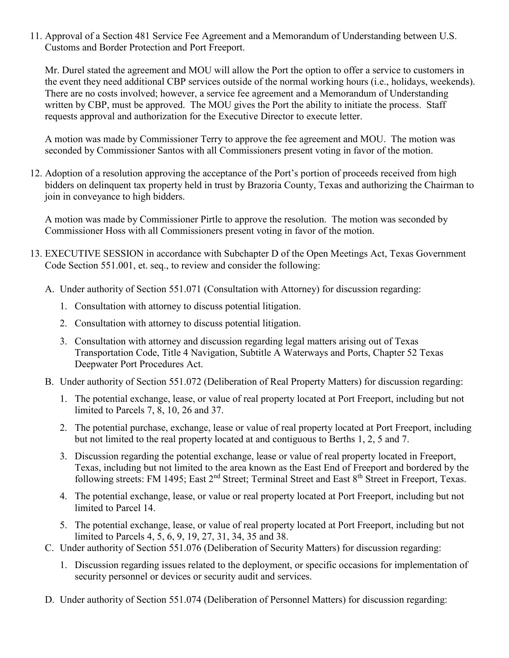11. Approval of a Section 481 Service Fee Agreement and a Memorandum of Understanding between U.S. Customs and Border Protection and Port Freeport.

Mr. Durel stated the agreement and MOU will allow the Port the option to offer a service to customers in the event they need additional CBP services outside of the normal working hours (i.e., holidays, weekends). There are no costs involved; however, a service fee agreement and a Memorandum of Understanding written by CBP, must be approved. The MOU gives the Port the ability to initiate the process. Staff requests approval and authorization for the Executive Director to execute letter.

A motion was made by Commissioner Terry to approve the fee agreement and MOU. The motion was seconded by Commissioner Santos with all Commissioners present voting in favor of the motion.

12. Adoption of a resolution approving the acceptance of the Port's portion of proceeds received from high bidders on delinquent tax property held in trust by Brazoria County, Texas and authorizing the Chairman to join in conveyance to high bidders.

A motion was made by Commissioner Pirtle to approve the resolution. The motion was seconded by Commissioner Hoss with all Commissioners present voting in favor of the motion.

- 13. EXECUTIVE SESSION in accordance with Subchapter D of the Open Meetings Act, Texas Government Code Section 551.001, et. seq., to review and consider the following:
	- A. Under authority of Section 551.071 (Consultation with Attorney) for discussion regarding:
		- 1. Consultation with attorney to discuss potential litigation.
		- 2. Consultation with attorney to discuss potential litigation.
		- 3. Consultation with attorney and discussion regarding legal matters arising out of Texas Transportation Code, Title 4 Navigation, Subtitle A Waterways and Ports, Chapter 52 Texas Deepwater Port Procedures Act.
	- B. Under authority of Section 551.072 (Deliberation of Real Property Matters) for discussion regarding:
		- 1. The potential exchange, lease, or value of real property located at Port Freeport, including but not limited to Parcels 7, 8, 10, 26 and 37.
		- 2. The potential purchase, exchange, lease or value of real property located at Port Freeport, including but not limited to the real property located at and contiguous to Berths 1, 2, 5 and 7.
		- 3. Discussion regarding the potential exchange, lease or value of real property located in Freeport, Texas, including but not limited to the area known as the East End of Freeport and bordered by the following streets: FM 1495; East 2<sup>nd</sup> Street; Terminal Street and East 8<sup>th</sup> Street in Freeport, Texas.
		- 4. The potential exchange, lease, or value or real property located at Port Freeport, including but not limited to Parcel 14.
		- 5. The potential exchange, lease, or value of real property located at Port Freeport, including but not limited to Parcels 4, 5, 6, 9, 19, 27, 31, 34, 35 and 38.
	- C. Under authority of Section 551.076 (Deliberation of Security Matters) for discussion regarding:
		- 1. Discussion regarding issues related to the deployment, or specific occasions for implementation of security personnel or devices or security audit and services.
	- D. Under authority of Section 551.074 (Deliberation of Personnel Matters) for discussion regarding: